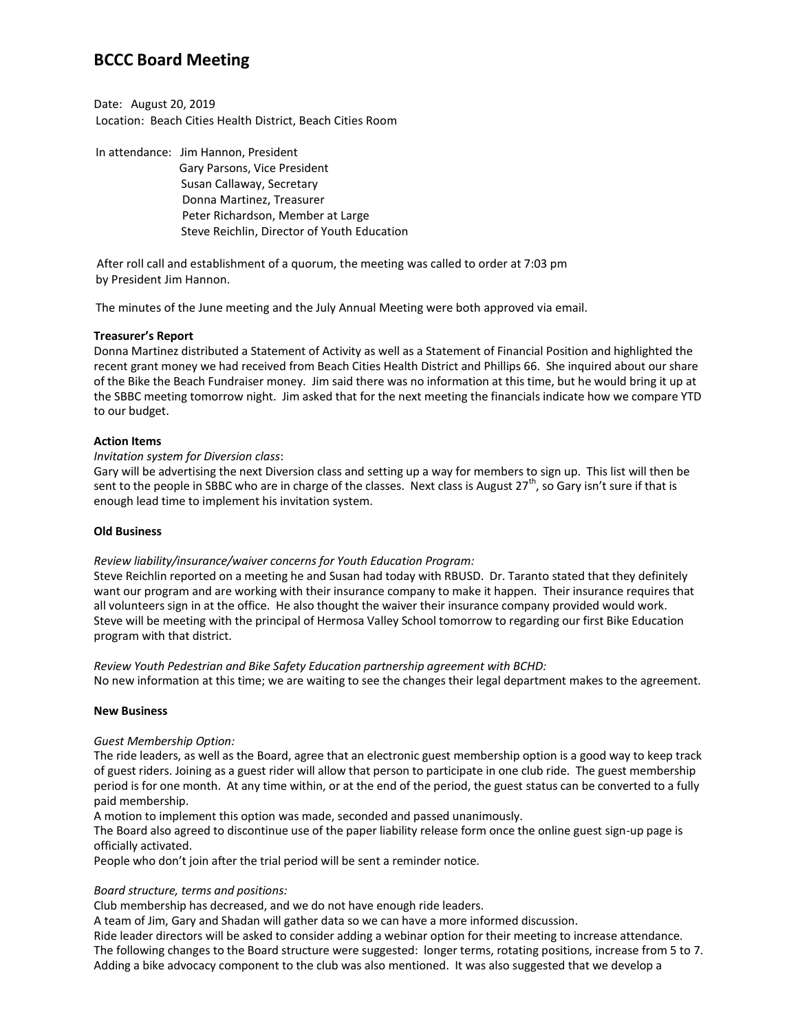# **BCCC Board Meeting**

Date: August 20, 2019 Location: Beach Cities Health District, Beach Cities Room

In attendance: Jim Hannon, President Gary Parsons, Vice President Susan Callaway, Secretary Donna Martinez, Treasurer Peter Richardson, Member at Large Steve Reichlin, Director of Youth Education

After roll call and establishment of a quorum, the meeting was called to order at 7:03 pm by President Jim Hannon.

The minutes of the June meeting and the July Annual Meeting were both approved via email.

# **Treasurer's Report**

Donna Martinez distributed a Statement of Activity as well as a Statement of Financial Position and highlighted the recent grant money we had received from Beach Cities Health District and Phillips 66. She inquired about our share of the Bike the Beach Fundraiser money. Jim said there was no information at this time, but he would bring it up at the SBBC meeting tomorrow night. Jim asked that for the next meeting the financials indicate how we compare YTD to our budget.

# **Action Items**

# *Invitation system for Diversion class*:

Gary will be advertising the next Diversion class and setting up a way for members to sign up. This list will then be sent to the people in SBBC who are in charge of the classes. Next class is August  $27^{th}$ , so Gary isn't sure if that is enough lead time to implement his invitation system.

### **Old Business**

# *Review liability/insurance/waiver concerns for Youth Education Program:*

Steve Reichlin reported on a meeting he and Susan had today with RBUSD. Dr. Taranto stated that they definitely want our program and are working with their insurance company to make it happen. Their insurance requires that all volunteers sign in at the office. He also thought the waiver their insurance company provided would work. Steve will be meeting with the principal of Hermosa Valley School tomorrow to regarding our first Bike Education program with that district.

*Review Youth Pedestrian and Bike Safety Education partnership agreement with BCHD:* No new information at this time; we are waiting to see the changes their legal department makes to the agreement.

#### **New Business**

#### *Guest Membership Option:*

The ride leaders, as well as the Board, agree that an electronic guest membership option is a good way to keep track of guest riders. Joining as a guest rider will allow that person to participate in one club ride. The guest membership period is for one month. At any time within, or at the end of the period, the guest status can be converted to a fully paid membership.

A motion to implement this option was made, seconded and passed unanimously.

The Board also agreed to discontinue use of the paper liability release form once the online guest sign-up page is officially activated.

People who don't join after the trial period will be sent a reminder notice.

# *Board structure, terms and positions:*

Club membership has decreased, and we do not have enough ride leaders.

A team of Jim, Gary and Shadan will gather data so we can have a more informed discussion.

Ride leader directors will be asked to consider adding a webinar option for their meeting to increase attendance. The following changes to the Board structure were suggested: longer terms, rotating positions, increase from 5 to 7. Adding a bike advocacy component to the club was also mentioned. It was also suggested that we develop a